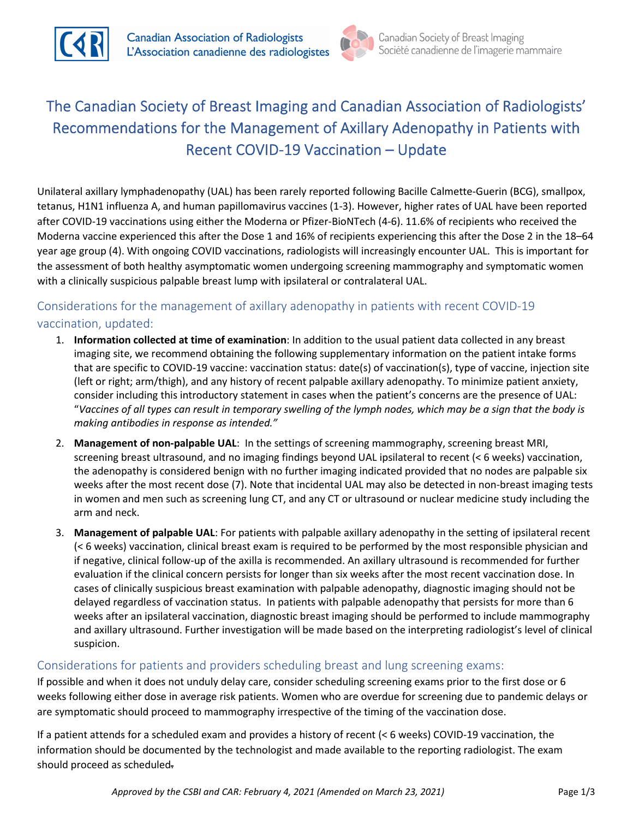



# The Canadian Society of Breast Imaging and Canadian Association of Radiologists' Recommendations for the Management of Axillary Adenopathy in Patients with Recent COVID-19 Vaccination – Update

Unilateral axillary lymphadenopathy (UAL) has been rarely reported following Bacille Calmette-Guerin (BCG), smallpox, tetanus, H1N1 influenza A, and human papillomavirus vaccines (1-3). However, higher rates of UAL have been reported after COVID-19 vaccinations using either the Moderna or Pfizer-BioNTech (4-6). 11.6% of recipients who received the Moderna vaccine experienced this after the Dose 1 and 16% of recipients experiencing this after the Dose 2 in the 18–64 year age group (4). With ongoing COVID vaccinations, radiologists will increasingly encounter UAL. This is important for the assessment of both healthy asymptomatic women undergoing screening mammography and symptomatic women with a clinically suspicious palpable breast lump with ipsilateral or contralateral UAL.

# Considerations for the management of axillary adenopathy in patients with recent COVID-19 vaccination, updated:

- 1. **Information collected at time of examination**: In addition to the usual patient data collected in any breast imaging site, we recommend obtaining the following supplementary information on the patient intake forms that are specific to COVID-19 vaccine: vaccination status: date(s) of vaccination(s), type of vaccine, injection site (left or right; arm/thigh), and any history of recent palpable axillary adenopathy. To minimize patient anxiety, consider including this introductory statement in cases when the patient's concerns are the presence of UAL: "*Vaccines of all types can result in temporary swelling of the lymph nodes, which may be a sign that the body is making antibodies in response as intended."*
- 2. **Management of non-palpable UAL**: In the settings of screening mammography, screening breast MRI, screening breast ultrasound, and no imaging findings beyond UAL ipsilateral to recent (< 6 weeks) vaccination, the adenopathy is considered benign with no further imaging indicated provided that no nodes are palpable six weeks after the most recent dose (7). Note that incidental UAL may also be detected in non-breast imaging tests in women and men such as screening lung CT, and any CT or ultrasound or nuclear medicine study including the arm and neck.
- 3. **Management of palpable UAL**: For patients with palpable axillary adenopathy in the setting of ipsilateral recent (< 6 weeks) vaccination, clinical breast exam is required to be performed by the most responsible physician and if negative, clinical follow-up of the axilla is recommended. An axillary ultrasound is recommended for further evaluation if the clinical concern persists for longer than six weeks after the most recent vaccination dose. In cases of clinically suspicious breast examination with palpable adenopathy, diagnostic imaging should not be delayed regardless of vaccination status. In patients with palpable adenopathy that persists for more than 6 weeks after an ipsilateral vaccination, diagnostic breast imaging should be performed to include mammography and axillary ultrasound. Further investigation will be made based on the interpreting radiologist's level of clinical suspicion.

## Considerations for patients and providers scheduling breast and lung screening exams:

If possible and when it does not unduly delay care, consider scheduling screening exams prior to the first dose or 6 weeks following either dose in average risk patients. Women who are overdue for screening due to pandemic delays or are symptomatic should proceed to mammography irrespective of the timing of the vaccination dose.

If a patient attends for a scheduled exam and provides a history of recent (< 6 weeks) COVID-19 vaccination, the information should be documented by the technologist and made available to the reporting radiologist. The exam should proceed as scheduled.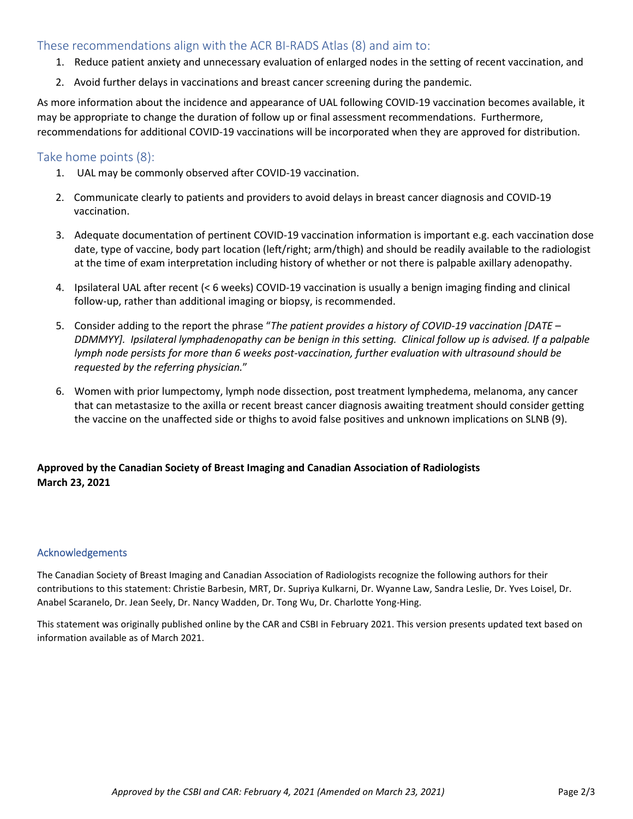## These recommendations align with the ACR BI-RADS Atlas (8) and aim to:

- 1. Reduce patient anxiety and unnecessary evaluation of enlarged nodes in the setting of recent vaccination, and
- 2. Avoid further delays in vaccinations and breast cancer screening during the pandemic.

As more information about the incidence and appearance of UAL following COVID-19 vaccination becomes available, it may be appropriate to change the duration of follow up or final assessment recommendations. Furthermore, recommendations for additional COVID-19 vaccinations will be incorporated when they are approved for distribution.

#### Take home points (8):

- 1. UAL may be commonly observed after COVID-19 vaccination.
- 2. Communicate clearly to patients and providers to avoid delays in breast cancer diagnosis and COVID-19 vaccination.
- 3. Adequate documentation of pertinent COVID-19 vaccination information is important e.g. each vaccination dose date, type of vaccine, body part location (left/right; arm/thigh) and should be readily available to the radiologist at the time of exam interpretation including history of whether or not there is palpable axillary adenopathy.
- 4. Ipsilateral UAL after recent (< 6 weeks) COVID-19 vaccination is usually a benign imaging finding and clinical follow-up, rather than additional imaging or biopsy, is recommended.
- 5. Consider adding to the report the phrase "*The patient provides a history of COVID-19 vaccination [DATE – DDMMYY]. Ipsilateral lymphadenopathy can be benign in this setting. Clinical follow up is advised. If a palpable lymph node persists for more than 6 weeks post-vaccination, further evaluation with ultrasound should be requested by the referring physician.*"
- 6. Women with prior lumpectomy, lymph node dissection, post treatment lymphedema, melanoma, any cancer that can metastasize to the axilla or recent breast cancer diagnosis awaiting treatment should consider getting the vaccine on the unaffected side or thighs to avoid false positives and unknown implications on SLNB (9).

## **Approved by the Canadian Society of Breast Imaging and Canadian Association of Radiologists March 23, 2021**

#### Acknowledgements

The Canadian Society of Breast Imaging and Canadian Association of Radiologists recognize the following authors for their contributions to this statement: Christie Barbesin, MRT, Dr. Supriya Kulkarni, Dr. Wyanne Law, Sandra Leslie, Dr. Yves Loisel, Dr. Anabel Scaranelo, Dr. Jean Seely, Dr. Nancy Wadden, Dr. Tong Wu, Dr. Charlotte Yong-Hing.

This statement was originally published online by the CAR and CSBI in February 2021. This version presents updated text based on information available as of March 2021.